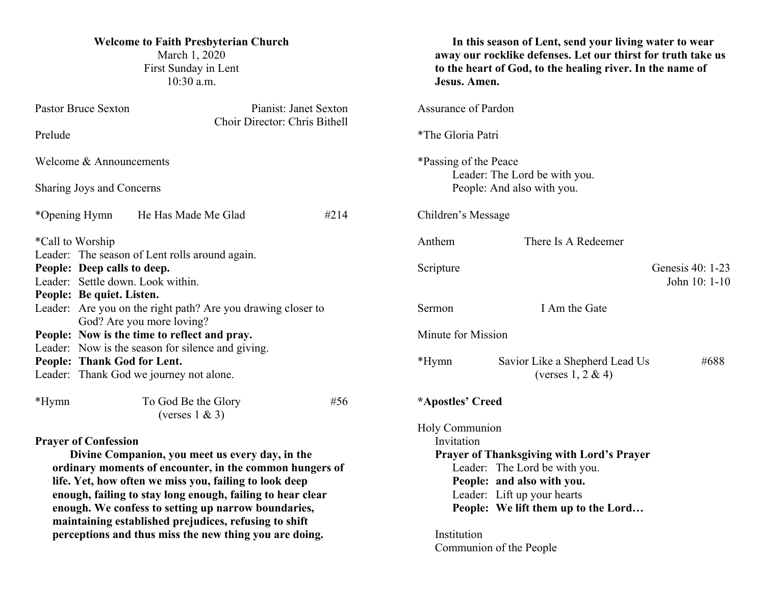| <b>Welcome to Faith Presbyterian Church</b><br>March 1, 2020<br>First Sunday in Lent<br>$10:30$ a.m.                                   |                                                                                                              |                               | In this season of Lent, send your living water to wear<br>away our rocklike defenses. Let our thirst for truth take us<br>to the heart of God, to the healing river. In the name of<br>Jesus. Amen. |                                                         |                                   |  |
|----------------------------------------------------------------------------------------------------------------------------------------|--------------------------------------------------------------------------------------------------------------|-------------------------------|-----------------------------------------------------------------------------------------------------------------------------------------------------------------------------------------------------|---------------------------------------------------------|-----------------------------------|--|
| <b>Pastor Bruce Sexton</b><br>Pianist: Janet Sexton                                                                                    |                                                                                                              | <b>Assurance of Pardon</b>    |                                                                                                                                                                                                     |                                                         |                                   |  |
| Prelude                                                                                                                                |                                                                                                              | Choir Director: Chris Bithell |                                                                                                                                                                                                     | *The Gloria Patri                                       |                                   |  |
| Welcome & Announcements                                                                                                                |                                                                                                              |                               | *Passing of the Peace<br>Leader: The Lord be with you.                                                                                                                                              |                                                         |                                   |  |
| Sharing Joys and Concerns                                                                                                              |                                                                                                              |                               | People: And also with you.                                                                                                                                                                          |                                                         |                                   |  |
| *Opening Hymn                                                                                                                          | He Has Made Me Glad                                                                                          | #214                          | Children's Message                                                                                                                                                                                  |                                                         |                                   |  |
| *Call to Worship<br>Leader: The season of Lent rolls around again.<br>People: Deep calls to deep.<br>Leader: Settle down. Look within. |                                                                                                              |                               | Anthem                                                                                                                                                                                              | There Is A Redeemer                                     |                                   |  |
|                                                                                                                                        |                                                                                                              |                               | Scripture                                                                                                                                                                                           |                                                         | Genesis 40: 1-23<br>John 10: 1-10 |  |
| People: Be quiet. Listen.<br>Leader: Are you on the right path? Are you drawing closer to<br>God? Are you more loving?                 |                                                                                                              |                               | Sermon                                                                                                                                                                                              | I Am the Gate                                           |                                   |  |
| People: Now is the time to reflect and pray.<br>Leader: Now is the season for silence and giving.                                      |                                                                                                              |                               | Minute for Mission                                                                                                                                                                                  |                                                         |                                   |  |
| People: Thank God for Lent.                                                                                                            | Leader: Thank God we journey not alone.                                                                      |                               | *Hymn                                                                                                                                                                                               | Savior Like a Shepherd Lead Us<br>(verses $1, 2 \& 4$ ) | #688                              |  |
| *Hymn                                                                                                                                  | To God Be the Glory<br>#56<br>(verses $1 \& 3$ )                                                             |                               | *Apostles' Creed                                                                                                                                                                                    |                                                         |                                   |  |
|                                                                                                                                        |                                                                                                              |                               | Holy Communion                                                                                                                                                                                      |                                                         |                                   |  |
| <b>Prayer of Confession</b><br>Divine Companion, you meet us every day, in the                                                         |                                                                                                              |                               | Invitation<br><b>Prayer of Thanksgiving with Lord's Prayer</b>                                                                                                                                      |                                                         |                                   |  |
|                                                                                                                                        | ordinary moments of encounter, in the common hungers of                                                      |                               | Leader: The Lord be with you.                                                                                                                                                                       |                                                         |                                   |  |
|                                                                                                                                        | life. Yet, how often we miss you, failing to look deep                                                       |                               | People: and also with you.                                                                                                                                                                          |                                                         |                                   |  |
|                                                                                                                                        | enough, failing to stay long enough, failing to hear clear                                                   |                               | Leader: Lift up your hearts                                                                                                                                                                         |                                                         |                                   |  |
|                                                                                                                                        | enough. We confess to setting up narrow boundaries,<br>maintaining established prejudices, refusing to shift |                               |                                                                                                                                                                                                     | People: We lift them up to the Lord                     |                                   |  |
| perceptions and thus miss the new thing you are doing.                                                                                 |                                                                                                              |                               | Institution                                                                                                                                                                                         |                                                         |                                   |  |

Communion of the People